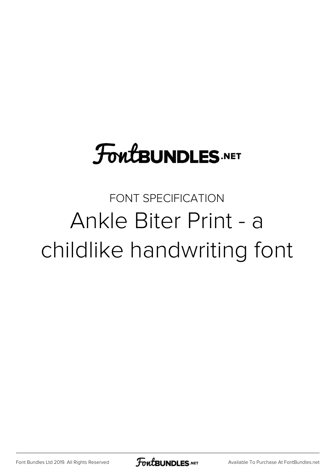# **FoutBUNDLES.NET**

#### FONT SPECIFICATION Ankle Biter Print - a childlike handwriting font

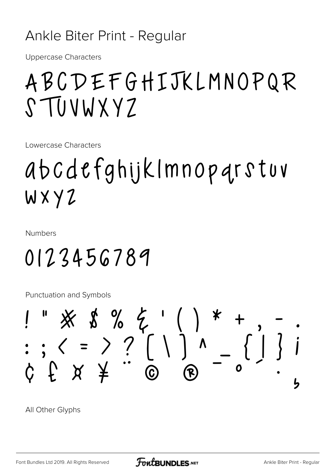#### Ankle Biter Print - Regular

Uppercase Characters

## ABCDEFGHIJKLMNOPQR STUVWXYZ

Lowercase Characters

# abcdefghijklmnopqrstuv wxyz

Numbers

## 0123456789

Punctuation and Symbols



All Other Glyphs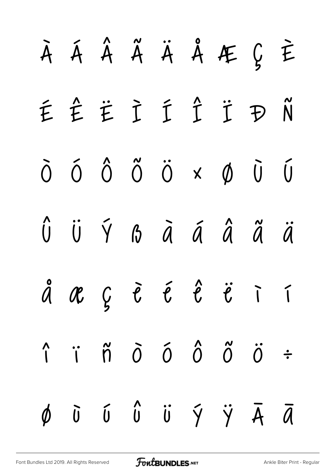|  |  |  | A Á Â Ã Ä Å Æ Ç È                                                                                                                     |  |
|--|--|--|---------------------------------------------------------------------------------------------------------------------------------------|--|
|  |  |  | ÉÊËÌÍÎŤĐÑ                                                                                                                             |  |
|  |  |  | $\delta$ $\delta$ $\delta$ $\ddot{\sigma}$ $\ddot{\sigma}$ $\times$ $\phi$ $\ddot{\sigma}$ $\ddot{\sigma}$                            |  |
|  |  |  | Û Ü Ý ß ā á â ã ä                                                                                                                     |  |
|  |  |  | å æ ç è é é ë i í                                                                                                                     |  |
|  |  |  | $\hat{\Gamma} \quad \hat{\Gamma} \quad \hat{\Omega} \quad \hat{O} \quad \hat{O} \quad \hat{O} \quad \hat{O} \quad \hat{O} \quad \div$ |  |
|  |  |  | $\phi$ $\bar{0}$ $\bar{0}$ $\hat{0}$ $\bar{0}$ $\bar{0}$ $\bar{0}$ $\bar{\gamma}$ $\bar{\gamma}$ $\bar{A}$ $\bar{a}$                  |  |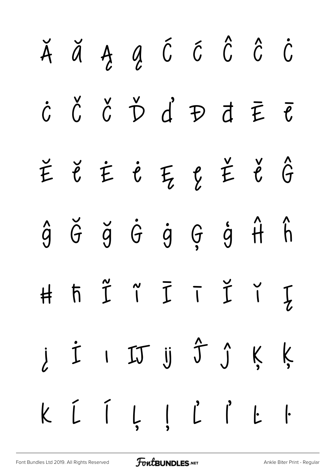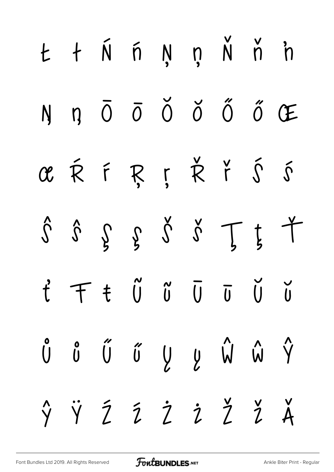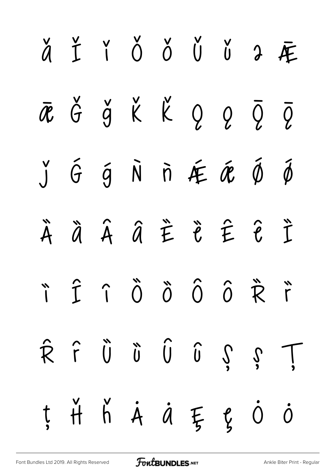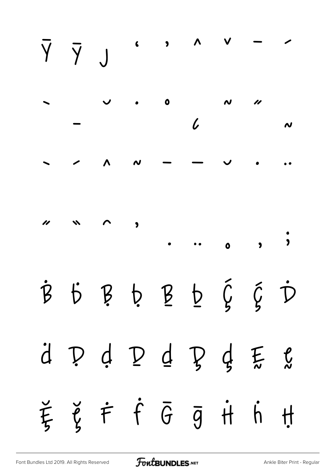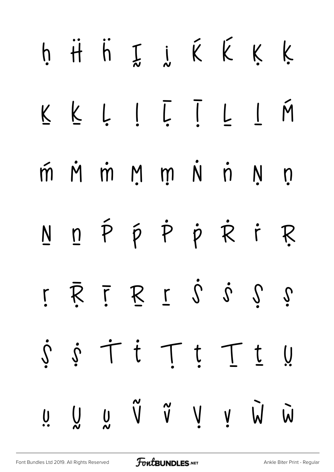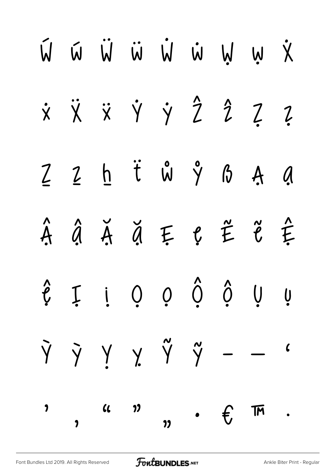